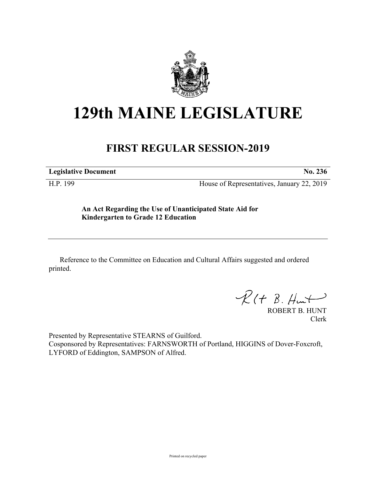

## **129th MAINE LEGISLATURE**

## **FIRST REGULAR SESSION-2019**

**Legislative Document No. 236**

H.P. 199 House of Representatives, January 22, 2019

**An Act Regarding the Use of Unanticipated State Aid for Kindergarten to Grade 12 Education**

Reference to the Committee on Education and Cultural Affairs suggested and ordered printed.

 $R(H B. H<sub>un</sub>+)$ 

ROBERT B. HUNT Clerk

Presented by Representative STEARNS of Guilford. Cosponsored by Representatives: FARNSWORTH of Portland, HIGGINS of Dover-Foxcroft, LYFORD of Eddington, SAMPSON of Alfred.